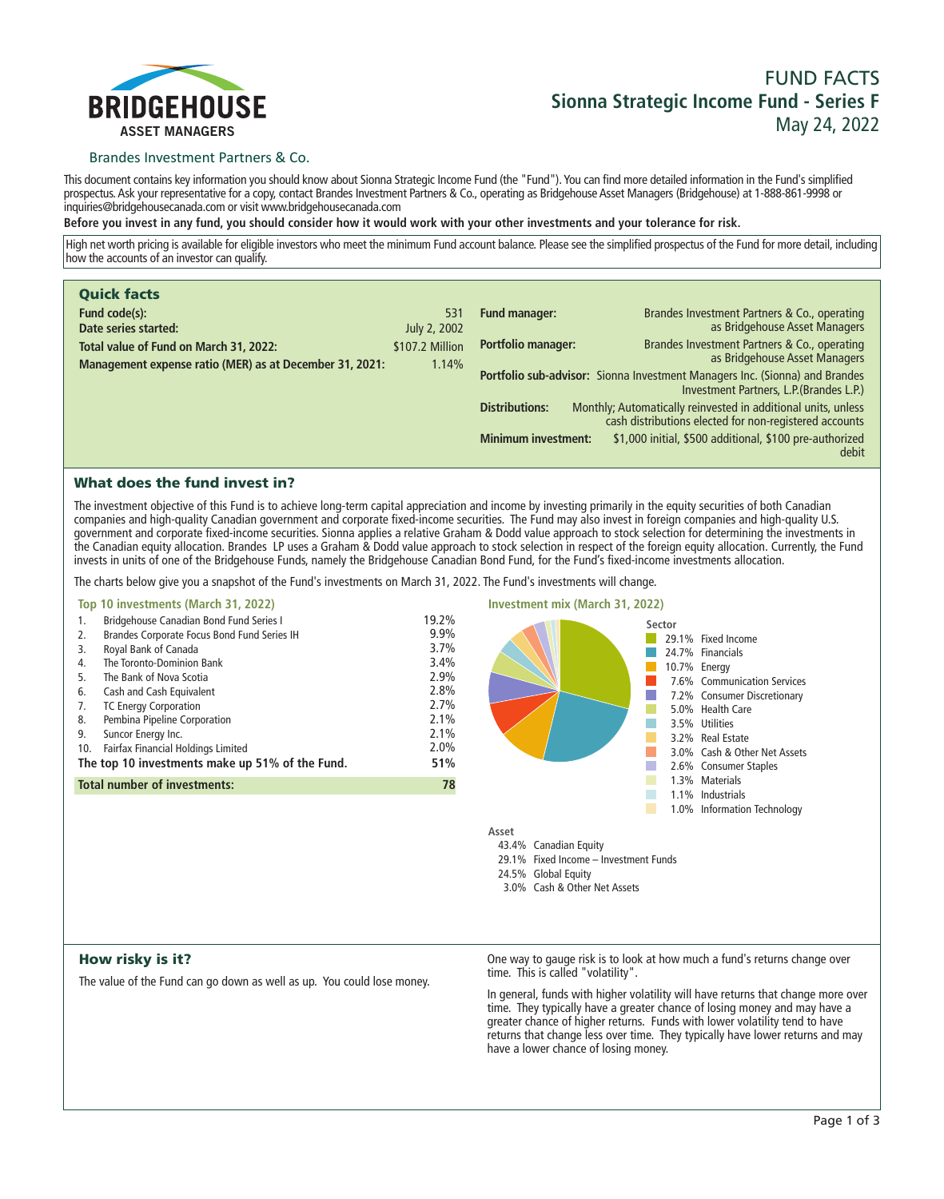

## **FUND FACTS Sionna Strategic Income Fund - Series F May 24, 2022**

## Brandes Investment Partners & Co.

**This document contains key information you should know about Sionna Strategic Income Fund (the "Fund"). You can find more detailed information in the Fund's simplified prospectus. Ask your representative for a copy, contact Brandes Investment Partners & Co., operating as Bridgehouse Asset Managers (Bridgehouse) at 1-888-861-9998 or inquiries@bridgehousecanada.com or visit www.bridgehousecanada.com**

**Before you invest in any fund, you should consider how it would work with your other investments and your tolerance for risk.**

**High net worth pricing is available for eligible investors who meet the minimum Fund account balance. Please see the simplified prospectus of the Fund for more detail, including how the accounts of an investor can qualify.**

| <b>Quick facts</b>                                      |                 |                                                                                                                                                  |  |  |
|---------------------------------------------------------|-----------------|--------------------------------------------------------------------------------------------------------------------------------------------------|--|--|
| Fund code(s):                                           | 531             | <b>Fund manager:</b><br>Brandes Investment Partners & Co., operating                                                                             |  |  |
| Date series started:                                    | July 2, 2002    | as Bridgehouse Asset Managers                                                                                                                    |  |  |
| Total value of Fund on March 31, 2022:                  | \$107.2 Million | Portfolio manager:<br>Brandes Investment Partners & Co., operating<br>as Bridgehouse Asset Managers                                              |  |  |
| Management expense ratio (MER) as at December 31, 2021: | 1.14%           |                                                                                                                                                  |  |  |
|                                                         |                 | Portfolio sub-advisor: Sionna Investment Managers Inc. (Sionna) and Brandes<br>Investment Partners, L.P. (Brandes L.P.)                          |  |  |
|                                                         |                 | Monthly; Automatically reinvested in additional units, unless<br><b>Distributions:</b><br>cash distributions elected for non-registered accounts |  |  |
|                                                         |                 | \$1,000 initial, \$500 additional, \$100 pre-authorized<br><b>Minimum investment:</b><br>debit                                                   |  |  |

## What does the fund invest in?

**The investment objective of this Fund is to achieve long-term capital appreciation and income by investing primarily in the equity securities of both Canadian companies and high-quality Canadian government and corporate fixed-income securities. The Fund may also invest in foreign companies and high-quality U.S. government and corporate fixed-income securities. Sionna applies a relative Graham & Dodd value approach to stock selection for determining the investments in the Canadian equity allocation. Brandes LP uses a Graham & Dodd value approach to stock selection in respect of the foreign equity allocation. Currently, the Fund invests in units of one of the Bridgehouse Funds, namely the Bridgehouse Canadian Bond Fund, for the Fund's fixed-income investments allocation.**

**The charts below give you a snapshot of the Fund's investments on March 31, 2022. The Fund's investments will change.**

|                                                           | Top 10 investments (March 31, 2022)                                                                                                                                                                                                                                                                                                                                                      |                                                                                      | <b>Investment mix (March 31, 2022)</b> |        |                                                                                                                                                                                                                                         |  |
|-----------------------------------------------------------|------------------------------------------------------------------------------------------------------------------------------------------------------------------------------------------------------------------------------------------------------------------------------------------------------------------------------------------------------------------------------------------|--------------------------------------------------------------------------------------|----------------------------------------|--------|-----------------------------------------------------------------------------------------------------------------------------------------------------------------------------------------------------------------------------------------|--|
| 1.<br>2.<br>3.<br>4.<br>5.<br>6.<br>7.<br>8.<br>9.<br>10. | <b>Bridgehouse Canadian Bond Fund Series I</b><br>Brandes Corporate Focus Bond Fund Series IH<br>Royal Bank of Canada<br>The Toronto-Dominion Bank<br>The Bank of Nova Scotia<br>Cash and Cash Equivalent<br><b>TC Energy Corporation</b><br>Pembina Pipeline Corporation<br>Suncor Energy Inc.<br>Fairfax Financial Holdings Limited<br>The top 10 investments make up 51% of the Fund. | 19.2%<br>9.9%<br>3.7%<br>3.4%<br>2.9%<br>2.8%<br>2.7%<br>2.1%<br>2.1%<br>2.0%<br>51% |                                        | Sector | 29.1% Fixed Income<br>24.7% Financials<br>10.7% Energy<br>7.6% Communication Services<br>7.2% Consumer Discretionary<br>5.0% Health Care<br>3.5% Utilities<br>3.2% Real Estate<br>3.0% Cash & Other Net Assets<br>2.6% Consumer Staples |  |
|                                                           | <b>Total number of investments:</b>                                                                                                                                                                                                                                                                                                                                                      | 78                                                                                   |                                        |        | 1.3% Materials<br>1.1% Industrials                                                                                                                                                                                                      |  |
|                                                           |                                                                                                                                                                                                                                                                                                                                                                                          |                                                                                      |                                        |        | 1.0% Information Technology                                                                                                                                                                                                             |  |

**Asset 43.4% Canadian Equity**

- **29.1% Fixed Income Investment Funds**
- **24.5% Global Equity**
- **3.0% Cash & Other Net Assets**

## How risky is it?

**The value of the Fund can go down as well as up. You could lose money.**

**One way to gauge risk is to look at how much a fund's returns change over time. This is called "volatility".**

**In general, funds with higher volatility will have returns that change more over time. They typically have a greater chance of losing money and may have a greater chance of higher returns. Funds with lower volatility tend to have**  returns that change less over time. They typically have lower returns and may **have a lower chance of losing money.**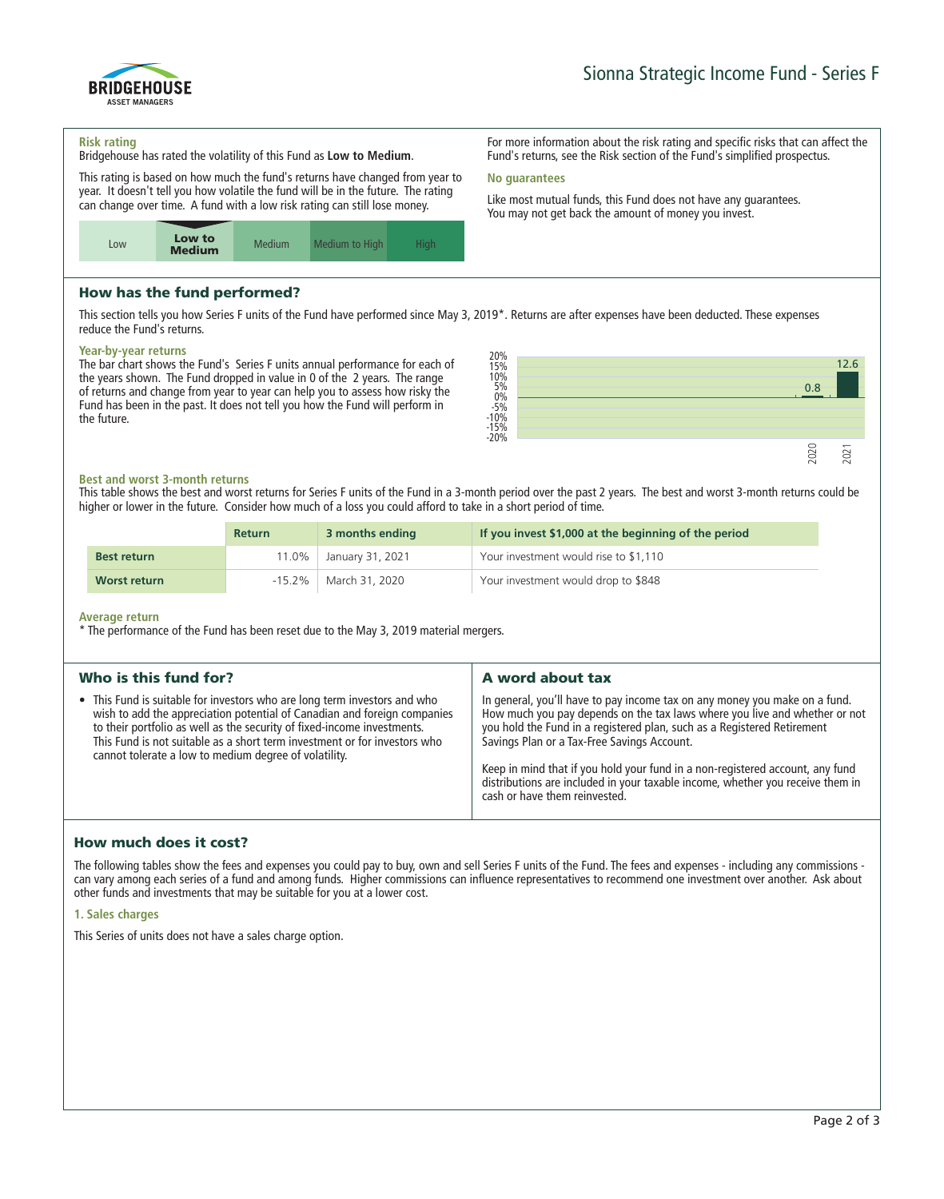

**For more information about the risk rating and specific risks that can affect the Fund's returns, see the Risk section of the Fund's simplified prospectus.**

**Like most mutual funds, this Fund does not have any guarantees. You may not get back the amount of money you invest.**

# BRIDGEHOUSE ASSET MANAGERS

#### **Risk rating**

**Bridgehouse has rated the volatility of this Fund as Low to Medium.**

**This rating is based on how much the fund's returns have changed from year to year. It doesn't tell you how volatile the fund will be in the future. The rating can change over time. A fund with a low risk rating can still lose money.**



## How has the fund performed?

**This section tells you how Series F units of the Fund have performed since May 3, 2019\*. Returns are after expenses have been deducted. These expenses reduce the Fund's returns.**

**No guarantees**

#### **Year-by-year returns**

**The bar chart shows the Fund's Series F units annual performance for each of the years shown. The Fund dropped in value in 0 of the 2 years. The range of returns and change from year to year can help you to assess how risky the Fund has been in the past. It does not tell you how the Fund will perform in the future.**



#### **Best and worst 3-month returns**

**This table shows the best and worst returns for Series F units of the Fund in a 3-month period over the past 2 years. The best and worst 3-month returns could be higher or lower in the future. Consider how much of a loss you could afford to take in a short period of time.**

|                    | <b>Return</b> | 3 months ending  | If you invest \$1,000 at the beginning of the period |
|--------------------|---------------|------------------|------------------------------------------------------|
| <b>Best return</b> | $11.0\%$      | January 31, 2021 | Your investment would rise to \$1,110                |
| Worst return       | $-15.2\%$     | March 31, 2020   | Your investment would drop to \$848                  |

#### **Average return**

**\* The performance of the Fund has been reset due to the May 3, 2019 material mergers.**

| Who is this fund for?                                                                                                                                                                                                                                                                                                                                                  | A word about tax                                                                                                                                                                                                                                                                                                                                                                                                                                                                       |
|------------------------------------------------------------------------------------------------------------------------------------------------------------------------------------------------------------------------------------------------------------------------------------------------------------------------------------------------------------------------|----------------------------------------------------------------------------------------------------------------------------------------------------------------------------------------------------------------------------------------------------------------------------------------------------------------------------------------------------------------------------------------------------------------------------------------------------------------------------------------|
| • This Fund is suitable for investors who are long term investors and who<br>wish to add the appreciation potential of Canadian and foreign companies<br>to their portfolio as well as the security of fixed-income investments.<br>This Fund is not suitable as a short term investment or for investors who<br>cannot tolerate a low to medium degree of volatility. | In general, you'll have to pay income tax on any money you make on a fund.<br>How much you pay depends on the tax laws where you live and whether or not<br>you hold the Fund in a registered plan, such as a Registered Retirement<br>Savings Plan or a Tax-Free Savings Account.<br>Keep in mind that if you hold your fund in a non-registered account, any fund<br>distributions are included in your taxable income, whether you receive them in<br>cash or have them reinvested. |

## How much does it cost?

**The following tables show the fees and expenses you could pay to buy, own and sell Series F units of the Fund. The fees and expenses - including any commissions can vary among each series of a fund and among funds. Higher commissions can influence representatives to recommend one investment over another. Ask about other funds and investments that may be suitable for you at a lower cost.**

#### **1. Sales charges**

**This Series of units does not have a sales charge option.**